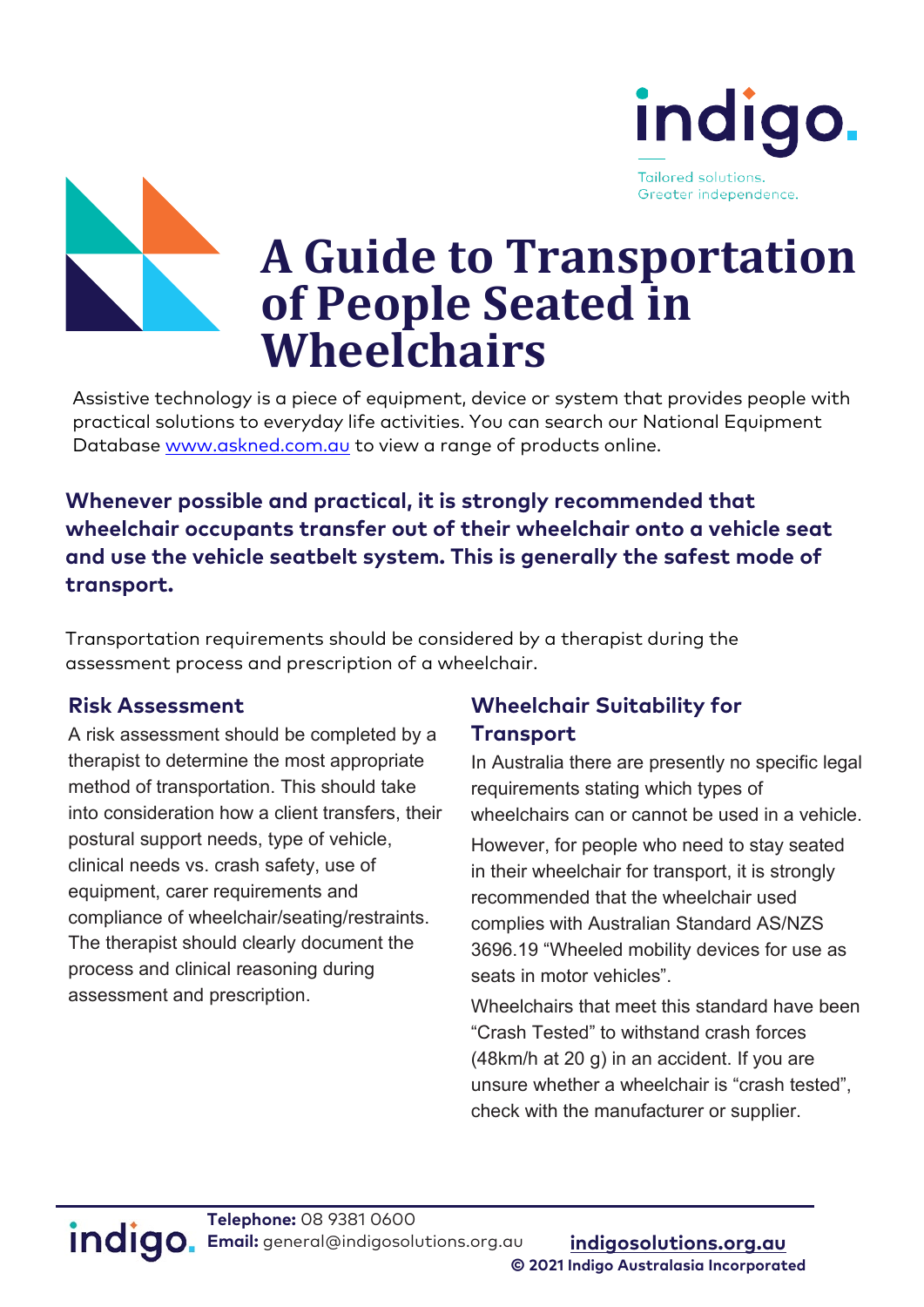



# **A Guide to Transportation of People Seated in Wheelchairs**

 Assistive technology is a piece of equipment, device or system that provides people with practical solutions to everyday life activities. You can search our National Equipment Database [www.askned.com.au](http://www.askned.com.au/) to view a range of products online.

#### **Whenever possible and practical, it is strongly recommended that wheelchair occupants transfer out of their wheelchair onto a vehicle seat and use the vehicle seatbelt system. This is generally the safest mode of transport.**

Transportation requirements should be considered by a therapist during the assessment process and prescription of a wheelchair.

#### **Risk Assessment**

A risk assessment should be completed by a therapist to determine the most appropriate method of transportation. This should take into consideration how a client transfers, their postural support needs, type of vehicle, clinical needs vs. crash safety, use of equipment, carer requirements and compliance of wheelchair/seating/restraints. The therapist should clearly document the process and clinical reasoning during assessment and prescription.

#### **Wheelchair Suitability for Transport**

In Australia there are presently no specific legal requirements stating which types of wheelchairs can or cannot be used in a vehicle.

However, for people who need to stay seated in their wheelchair for transport, it is strongly recommended that the wheelchair used complies with Australian Standard AS/NZS 3696.19 "Wheeled mobility devices for use as seats in motor vehicles".

Wheelchairs that meet this standard have been "Crash Tested" to withstand crash forces (48km/h at 20 g) in an accident. If you are unsure whether a wheelchair is "crash tested", check with the manufacturer or supplier.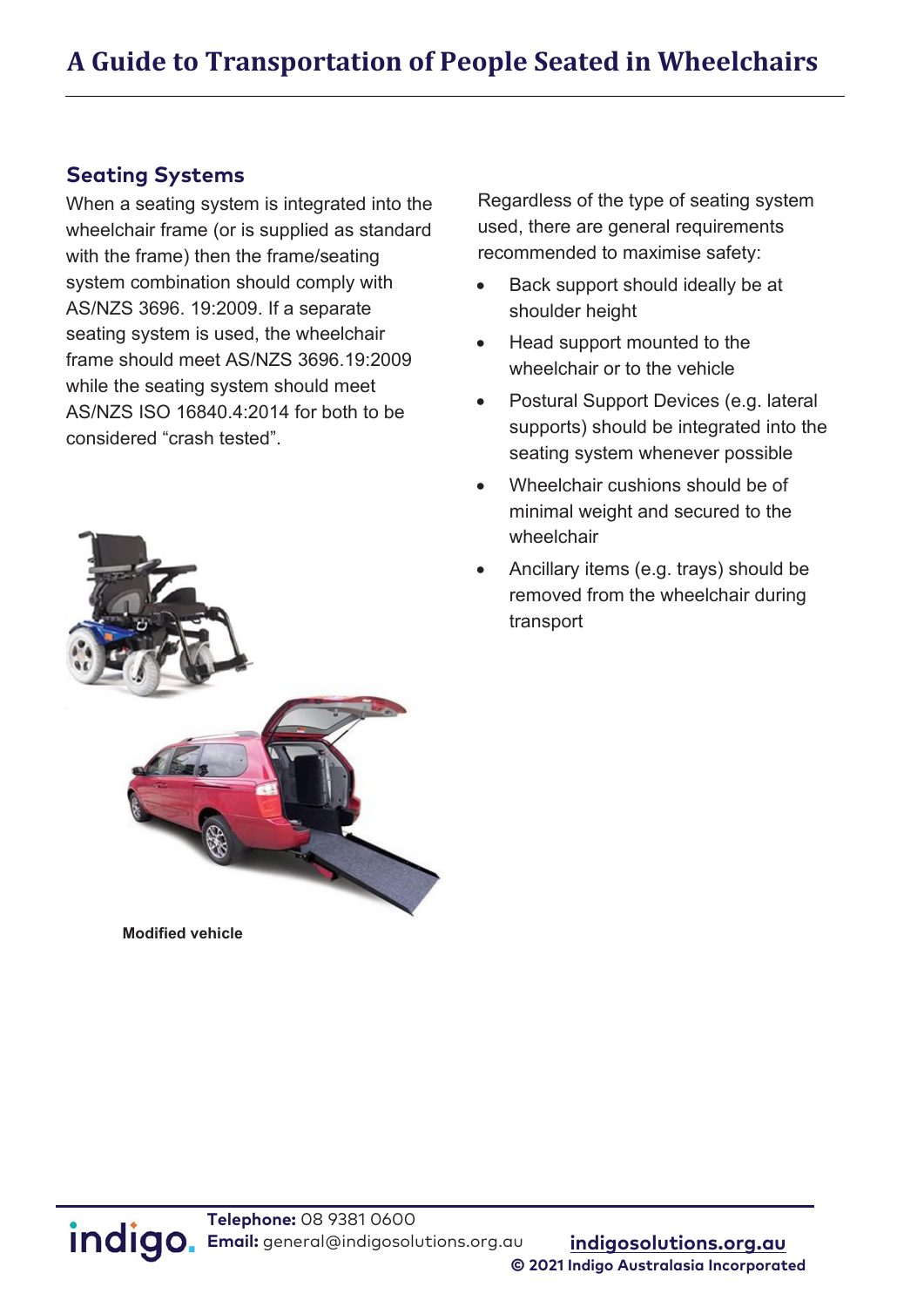#### **Seating Systems**

When a seating system is integrated into the wheelchair frame (or is supplied as standard with the frame) then the frame/seating system combination should comply with AS/NZS 3696. 19:2009. If a separate seating system is used, the wheelchair frame should meet AS/NZS 3696.19:2009 while the seating system should meet AS/NZS ISO 16840.4:2014 for both to be considered "crash tested".



• Postural Support Devices (e.g. lateral supports) should be integrated into the seating system whenever possible

Regardless of the type of seating system used, there are general requirements recommended to maximise safety:

• Wheelchair cushions should be of minimal weight and secured to the wheelchair

wheelchair or to the vehicle

• Ancillary items (e.g. trays) should be removed from the wheelchair during transport

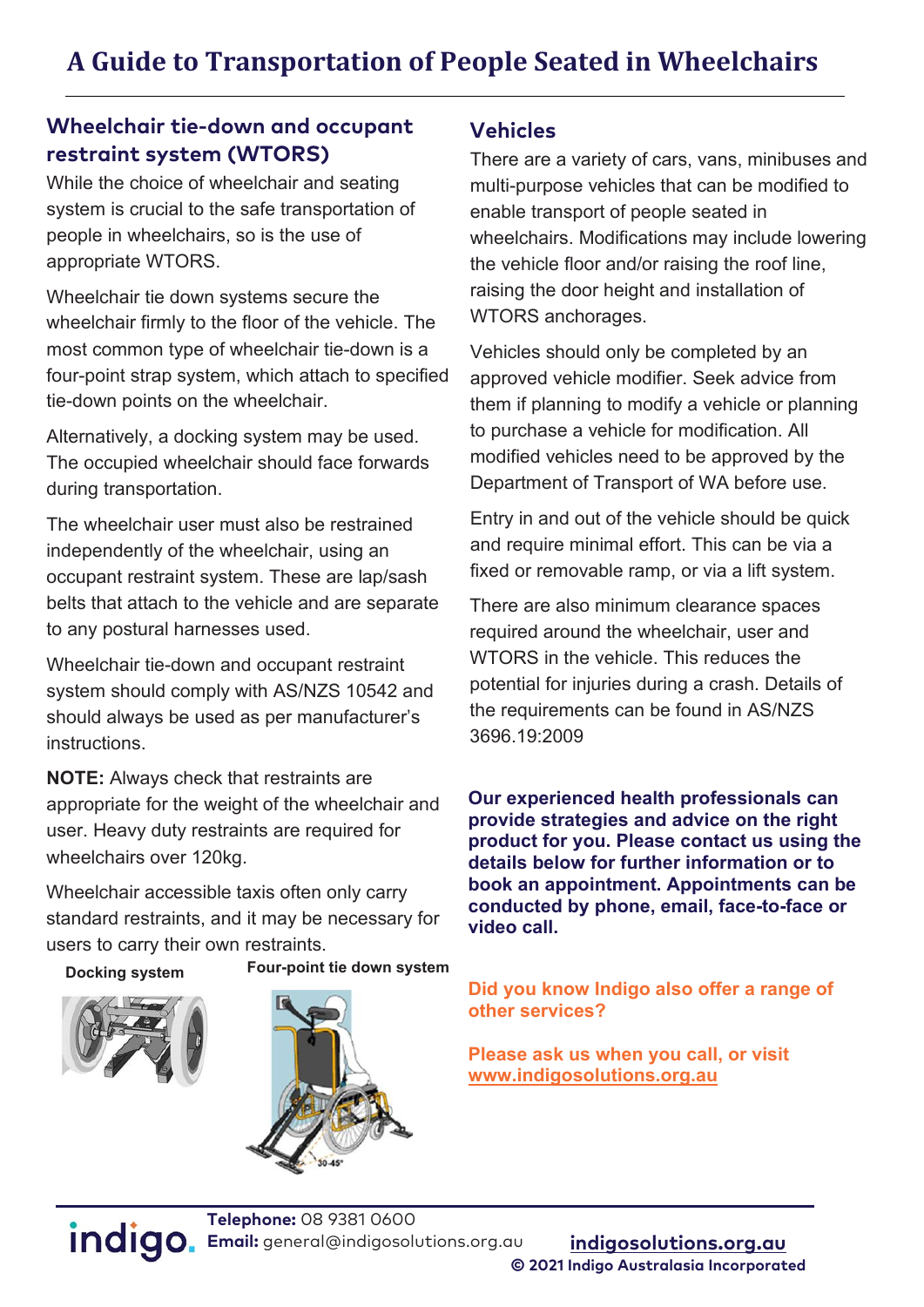#### **Wheelchair tie-down and occupant restraint system (WTORS)**

While the choice of wheelchair and seating system is crucial to the safe transportation of people in wheelchairs, so is the use of appropriate WTORS.

Wheelchair tie down systems secure the wheelchair firmly to the floor of the vehicle. The most common type of wheelchair tie-down is a four-point strap system, which attach to specified tie-down points on the wheelchair.

Alternatively, a docking system may be used. The occupied wheelchair should face forwards during transportation.

The wheelchair user must also be restrained independently of the wheelchair, using an occupant restraint system. These are lap/sash belts that attach to the vehicle and are separate to any postural harnesses used.

Wheelchair tie-down and occupant restraint system should comply with AS/NZS 10542 and should always be used as per manufacturer's instructions.

**NOTE:** Always check that restraints are appropriate for the weight of the wheelchair and user. Heavy duty restraints are required for wheelchairs over 120kg.

Wheelchair accessible taxis often only carry standard restraints, and it may be necessary for users to carry their own restraints.

**Docking system Four-point tie down system**





#### **Vehicles**

There are a variety of cars, vans, minibuses and multi-purpose vehicles that can be modified to enable transport of people seated in wheelchairs. Modifications may include lowering the vehicle floor and/or raising the roof line, raising the door height and installation of WTORS anchorages.

Vehicles should only be completed by an approved vehicle modifier. Seek advice from them if planning to modify a vehicle or planning to purchase a vehicle for modification. All modified vehicles need to be approved by the Department of Transport of WA before use.

Entry in and out of the vehicle should be quick and require minimal effort. This can be via a fixed or removable ramp, or via a lift system.

There are also minimum clearance spaces required around the wheelchair, user and WTORS in the vehicle. This reduces the potential for injuries during a crash. Details of the requirements can be found in AS/NZS 3696.19:2009

**Our experienced health professionals can provide strategies and advice on the right product for you. Please contact us using the details below for further information or to book an appointment. Appointments can be conducted by phone, email, face-to-face or video call.** 

**Did you know Indigo also offer a range of other services?** 

**Please ask us when you call, or visit <www.indigosolutions.org.au>**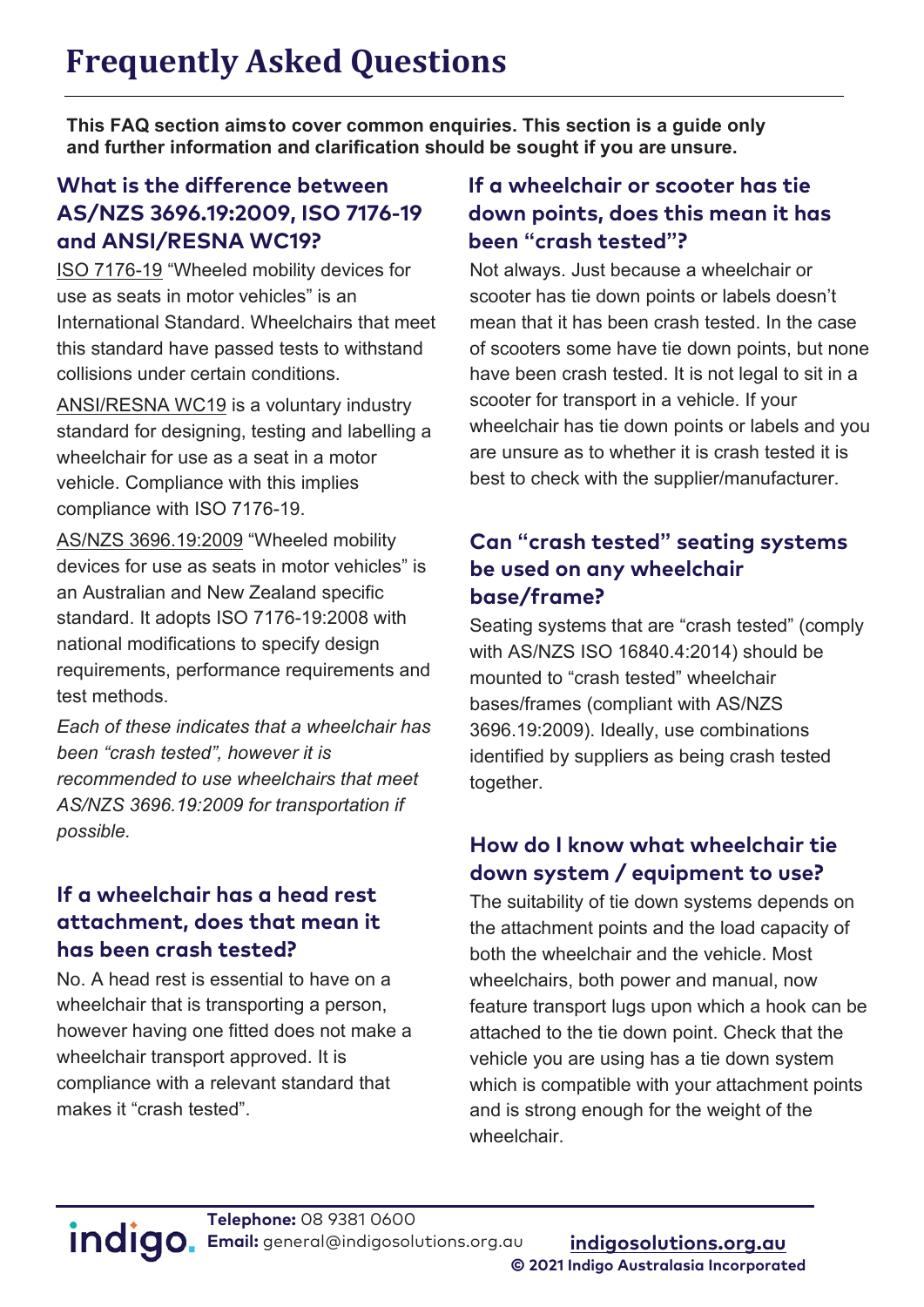## **Frequently Asked Questions**

**This FAQ section aimsto cover common enquiries. This section is a guide only and further information and clarification should be sought if you are unsure.**

#### **What is the difference between AS/NZS 3696.19:2009, ISO 7176-19 and ANSI/RESNA WC19?**

ISO 7176-19 "Wheeled mobility devices for use as seats in motor vehicles" is an International Standard. Wheelchairs that meet this standard have passed tests to withstand collisions under certain conditions.

ANSI/RESNA WC19 is a voluntary industry standard for designing, testing and labelling a wheelchair for use as a seat in a motor vehicle. Compliance with this implies compliance with ISO 7176-19.

AS/NZS 3696.19:2009 "Wheeled mobility devices for use as seats in motor vehicles" is an Australian and New Zealand specific standard. It adopts ISO 7176-19:2008 with national modifications to specify design requirements, performance requirements and test methods.

*Each of these indicates that a wheelchair has been "crash tested", however it is recommended to use wheelchairs that meet AS/NZS 3696.19:2009 for transportation if possible.*

#### **If a wheelchair has a head rest attachment, does that mean it has been crash tested?**

No. A head rest is essential to have on a wheelchair that is transporting a person, however having one fitted does not make a wheelchair transport approved. It is compliance with a relevant standard that makes it "crash tested".

#### **If a wheelchair or scooter has tie down points, does this mean it has been "crash tested"?**

Not always. Just because a wheelchair or scooter has tie down points or labels doesn't mean that it has been crash tested. In the case of scooters some have tie down points, but none have been crash tested. It is not legal to sit in a scooter for transport in a vehicle. If your wheelchair has tie down points or labels and you are unsure as to whether it is crash tested it is best to check with the supplier/manufacturer.

#### **Can "crash tested" seating systems be used on any wheelchair base/frame?**

Seating systems that are "crash tested" (comply with AS/NZS ISO 16840.4:2014) should be mounted to "crash tested" wheelchair bases/frames (compliant with AS/NZS 3696.19:2009). Ideally, use combinations identified by suppliers as being crash tested together.

#### **How do I know what wheelchair tie down system / equipment to use?**

The suitability of tie down systems depends on the attachment points and the load capacity of both the wheelchair and the vehicle. Most wheelchairs, both power and manual, now feature transport lugs upon which a hook can be attached to the tie down point. Check that the vehicle you are using has a tie down system which is compatible with your attachment points and is strong enough for the weight of the wheelchair.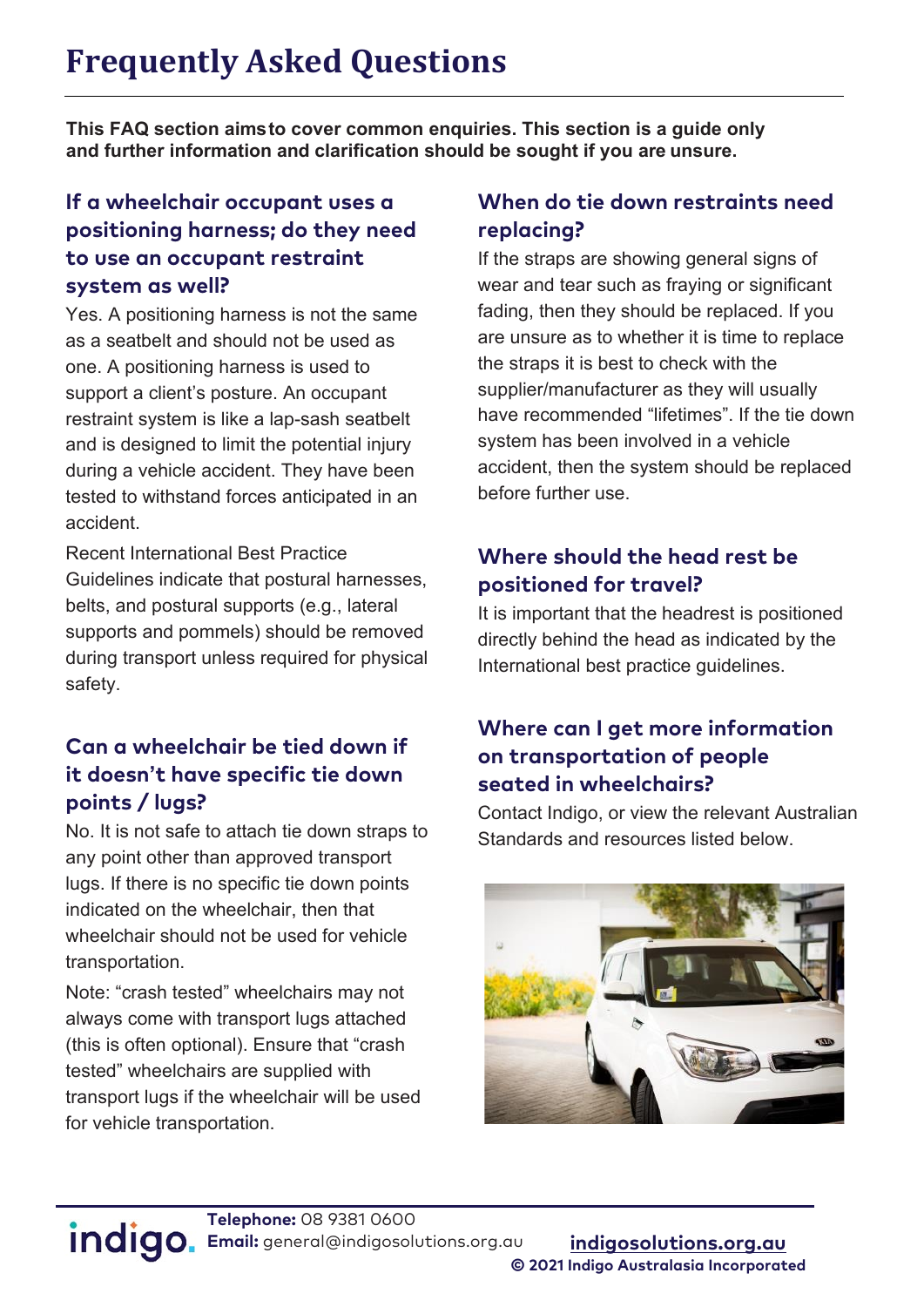**This FAQ section aimsto cover common enquiries. This section is a guide only and further information and clarification should be sought if you are unsure.**

#### **If a wheelchair occupant uses a positioning harness; do they need to use an occupant restraint system as well?**

Yes. A positioning harness is not the same as a seatbelt and should not be used as one. A positioning harness is used to support a client's posture. An occupant restraint system is like a lap-sash seatbelt and is designed to limit the potential injury during a vehicle accident. They have been tested to withstand forces anticipated in an accident.

Recent International Best Practice Guidelines indicate that postural harnesses, belts, and postural supports (e.g., lateral supports and pommels) should be removed during transport unless required for physical safety.

#### **Can a wheelchair be tied down if it doesn't have specific tie down points / lugs?**

No. It is not safe to attach tie down straps to any point other than approved transport lugs. If there is no specific tie down points indicated on the wheelchair, then that wheelchair should not be used for vehicle transportation.

Note: "crash tested" wheelchairs may not always come with transport lugs attached (this is often optional). Ensure that "crash tested" wheelchairs are supplied with transport lugs if the wheelchair will be used for vehicle transportation.

#### **When do tie down restraints need replacing?**

If the straps are showing general signs of wear and tear such as fraying or significant fading, then they should be replaced. If you are unsure as to whether it is time to replace the straps it is best to check with the supplier/manufacturer as they will usually have recommended "lifetimes". If the tie down system has been involved in a vehicle accident, then the system should be replaced before further use.

#### **Where should the head rest be positioned for travel?**

It is important that the headrest is positioned directly behind the head as indicated by the International best practice guidelines.

#### **Where can I get more information on transportation of people seated in wheelchairs?**

Contact Indigo, or view the relevant Australian Standards and resources listed below.